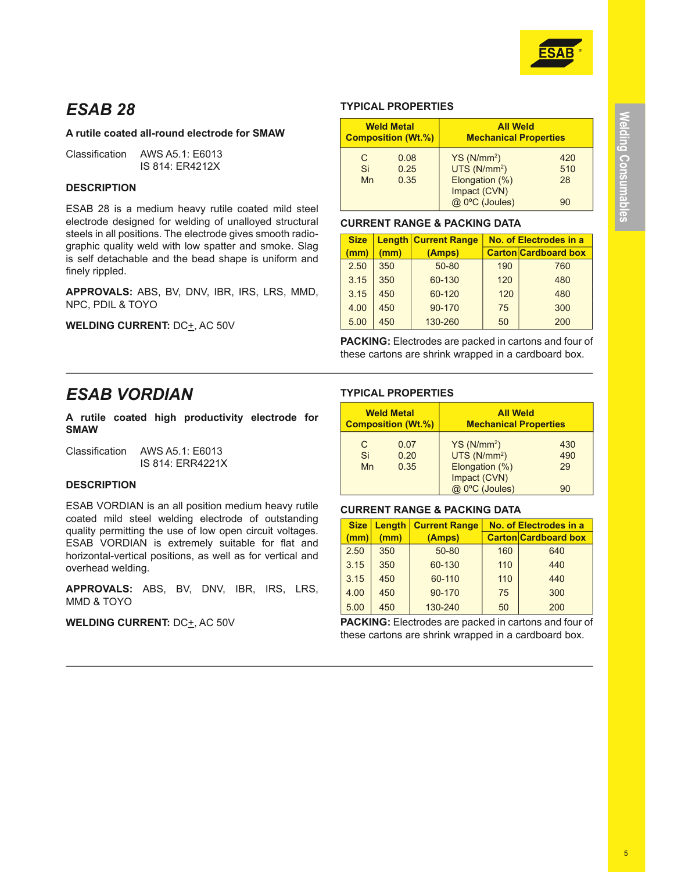

# **ESAB 28**

# A rutile coated all-round electrode for SMAW

Classification AWS A5.1: E6013 IS 814: FR4212X

# **DESCRIPTION**

ESAB 28 is a medium heavy rutile coated mild steel electrode designed for welding of unalloyed structural steels in all positions. The electrode gives smooth radiographic quality weld with low spatter and smoke. Slag is self detachable and the bead shape is uniform and finely rippled.

APPROVALS: ABS, BV, DNV, IBR, IRS, LRS, MMD, NPC, PDIL & TOYO

**WELDING CURRENT: DC+, AC 50V** 

# **TYPICAL PROPERTIES**

| <b>Weld Metal</b><br><b>Composition (Wt.%)</b> |                      | <b>All Weld</b><br><b>Mechanical Properties</b>                                                        |                        |
|------------------------------------------------|----------------------|--------------------------------------------------------------------------------------------------------|------------------------|
| C.<br>Si<br>Mn                                 | 0.08<br>0.25<br>0.35 | YS (N/mm <sup>2</sup> )<br>UTS(N/mm <sup>2</sup> )<br>Elongation (%)<br>Impact (CVN)<br>@ 0°C (Joules) | 420<br>510<br>28<br>90 |

#### **CURRENT RANGE & PACKING DATA**

| <b>Size</b> |     | <b>Length Current Range</b> | No. of Electrodes in a      |     |
|-------------|-----|-----------------------------|-----------------------------|-----|
| (mm)        | (mm | (Amps)                      | <b>Carton Cardboard box</b> |     |
| 2.50        | 350 | 50-80                       | 190                         | 760 |
| 3.15        | 350 | 60-130                      | 120                         | 480 |
| 3.15        | 450 | 60-120                      | 120                         | 480 |
| 4.00        | 450 | 90-170                      | 75                          | 300 |
| 5.00        | 450 | 130-260                     | 50                          | 200 |

**PACKING:** Electrodes are packed in cartons and four of these cartons are shrink wrapped in a cardboard box.

# **ESAB VORDIAN**

A rutile coated high productivity electrode for **SMAW** 

Classification AWS A5.1: F6013 IS 814: ERR4221X

# **DESCRIPTION**

ESAB VORDIAN is an all position medium heavy rutile coated mild steel welding electrode of outstanding quality permitting the use of low open circuit voltages. ESAB VORDIAN is extremely suitable for flat and horizontal-vertical positions, as well as for vertical and overhead welding.

APPROVALS: ABS, BV, DNV, IBR, IRS, LRS, MMD & TOYO

**WELDING CURRENT: DC+, AC 50V** 

# **TYPICAL PROPERTIES**

| <b>Weld Metal</b>         |                      | <b>All Weld</b>                                                                                        |                        |
|---------------------------|----------------------|--------------------------------------------------------------------------------------------------------|------------------------|
| <b>Composition (Wt.%)</b> |                      | <b>Mechanical Properties</b>                                                                           |                        |
| C<br>Si<br>Mn             | 0.07<br>0.20<br>0.35 | YS (N/mm <sup>2</sup> )<br>UTS(N/mm <sup>2</sup> )<br>Elongation (%)<br>Impact (CVN)<br>@ 0°C (Joules) | 430<br>490<br>29<br>90 |

# **CURRENT RANGE & PACKING DATA**

| <b>Size</b> | Length | <b>Current Range</b> | No. of Electrodes in a      |     |
|-------------|--------|----------------------|-----------------------------|-----|
| (mm)        | (mm)   | (Amps)               | <b>Carton Cardboard box</b> |     |
| 2.50        | 350    | 50-80                | 160                         | 640 |
| 3.15        | 350    | 60-130               | 110                         | 440 |
| 3.15        | 450    | 60-110               | 110                         | 440 |
| 4.00        | 450    | 90-170               | 75                          | 300 |
| 5.00        | 450    | 130-240              | 50                          | 200 |

**PACKING:** Electrodes are packed in cartons and four of these cartons are shrink wrapped in a cardboard box.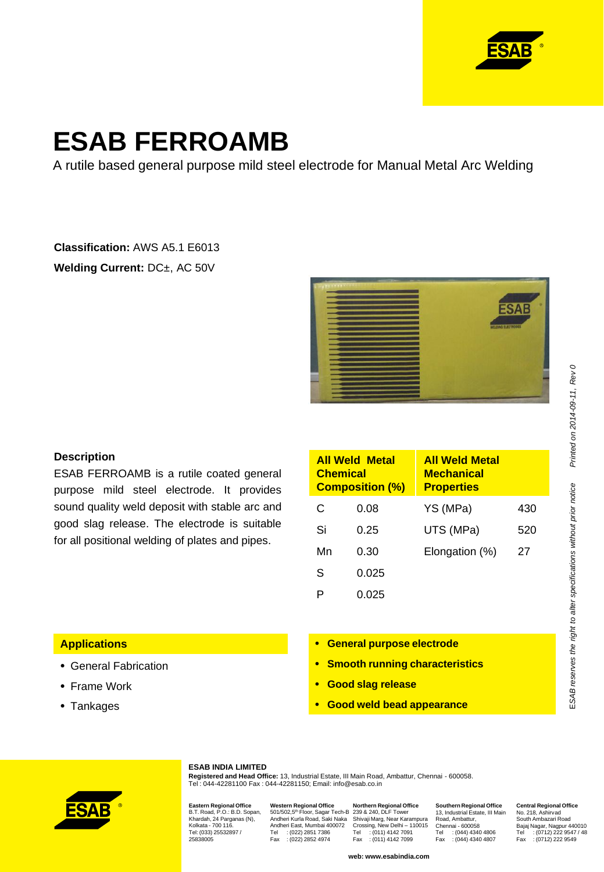

# **ESAB FERROAMB**

A rutile based general purpose mild steel electrode for Manual Metal Arc Welding

# **Classification:** AWS A5.1 E6013 **Welding Current:** DC±, AC 50V



# **Description**

ESAB FERROAMB is a rutile coated general purpose mild steel electrode. It provides sound quality weld deposit with stable arc and good slag release. The electrode is suitable for all positional welding of plates and pipes.

| <b>All Weld Metal</b><br><b>Chemical</b><br><b>Composition (%)</b> |       | <b>All Weld Metal</b><br><b>Mechanical</b><br><b>Properties</b> |     |
|--------------------------------------------------------------------|-------|-----------------------------------------------------------------|-----|
| C                                                                  | 0.08  | YS (MPa)                                                        | 430 |
| Si                                                                 | 0.25  | UTS (MPa)                                                       | 520 |
| Mn                                                                 | 0.30  | Elongation (%)                                                  | 27  |
| S                                                                  | 0.025 |                                                                 |     |
|                                                                    | 0.025 |                                                                 |     |

### **Applications**

- General Fabrication
- Frame Work
- Tankages
- **General purpose electrode**
- **Smooth running characteristics**
- **Good slag release**
- **Good weld bead appearance**



#### **ESAB INDIA LIMITED**

**Registered and Head Office:** 13, Industrial Estate, III Main Road, Ambattur, Chennai - 600058. Tel : 044-42281100 Fax : 044-42281150; Email: info@esab.co.in

**Eastern Regional Office** B.T. Road, P.O.: B.D. Sopan, Khardah, 24 Parganas (N), Kolkata - 700 116. Tel: (033) 25532897 / 25838005

Western Regional Office<br>501/502,5<sup>th</sup> Floor, Sagar Tech-B<br>Andheri Kurla Road, Saki Naka<br>Andheri East, Mumbai 400072<br>Tel : (022) 2851 7386<br>Fax : (022) 2852 4974

**Northern Regional Office**<br>239 & 240, DLF Tower<br>Shivaji Marg, New Delhi – 110015<br>Crossing, New Delhi – 110015<br>Tel : (011) 4142 7099<br>Fax : (011) 4142 7099

**web: www.esabindia.com**

**Southern Regional Office** 13, Industrial Estate, III Main Road, Ambattur, Chennai - 600058 Tel : (044) 4340 4806 Fax : (044) 4340 4807

**Central Regional Office** No. 218, Ashirvad South Ambazari Road Bajaj Nagar, Nagpur 440010 Tel : (0712) 222 9547 / 48 Fax : (0712) 222 9549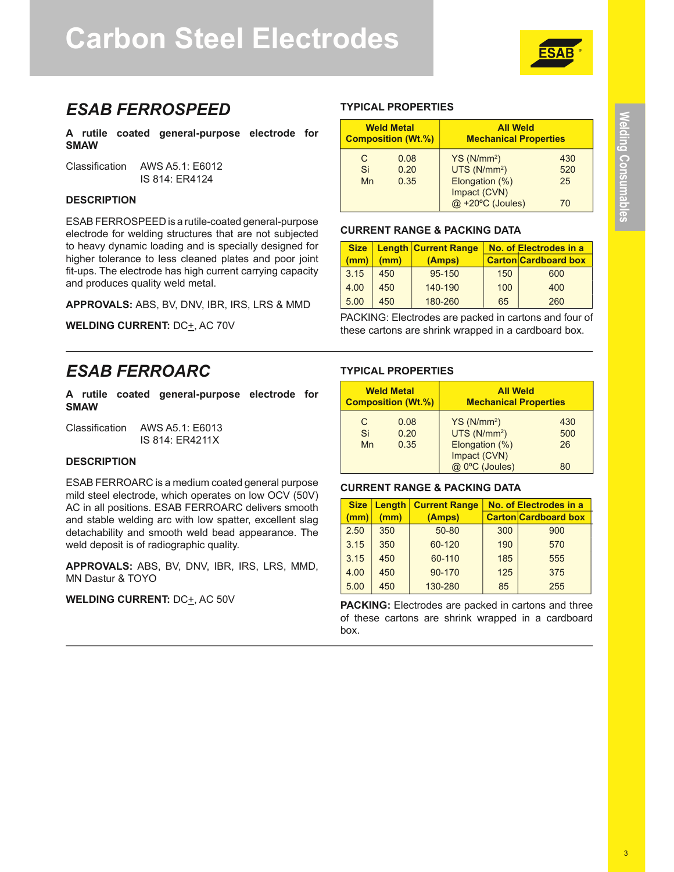# **Carbon Steel Electrodes**



# **ESAB FERROSPEED**

A rutile coated general-purpose electrode for **SMAW** 

Classification AWS A5.1: F6012 IS 814: FR4124

# **DESCRIPTION**

ESAB FERROSPEED is a rutile-coated general-purpose electrode for welding structures that are not subjected to heavy dynamic loading and is specially designed for higher tolerance to less cleaned plates and poor joint fit-ups. The electrode has high current carrying capacity and produces quality weld metal.

APPROVALS: ABS, BV, DNV, IBR, IRS, LRS & MMD

**WELDING CURRENT: DC+, AC 70V** 

# **FSAR FFRROARC**

A rutile coated general-purpose electrode for **SMAW** 

Classification AWS A5.1: F6013 IS 814: ER4211X

#### **DESCRIPTION**

ESAB FERROARC is a medium coated general purpose mild steel electrode, which operates on low OCV (50V) AC in all positions. ESAB FERROARC delivers smooth and stable welding arc with low spatter, excellent slag detachability and smooth weld bead appearance. The weld deposit is of radiographic quality.

APPROVALS: ABS, BV, DNV, IBR, IRS, LRS, MMD, **MN Dastur & TOYO** 

# **WELDING CURRENT: DC**+, AC 50V

#### **TYPICAL PROPERTIES**

| <b>Weld Metal</b>         |      | <b>All Weld</b>                  |     |
|---------------------------|------|----------------------------------|-----|
| <b>Composition (Wt.%)</b> |      | <b>Mechanical Properties</b>     |     |
| C                         | 0.08 | YS (N/mm <sup>2</sup> )          | 430 |
| Si                        | 0.20 | UTS(N/mm <sup>2</sup> )          | 520 |
| Mn                        | 0.35 | Elongation (%)                   | 25  |
|                           |      | Impact (CVN)<br>@ +20°C (Joules) |     |

#### **CURRENT RANGE & PACKING DATA**

| <b>Size</b> |      | <b>Length Current Range</b> |     | No. of Electrodes in a      |
|-------------|------|-----------------------------|-----|-----------------------------|
| (mm)        | (mm) | (Amps)                      |     | <b>Carton Cardboard box</b> |
| 3.15        | 450  | 95-150                      | 150 | 600                         |
| 4.00        | 450  | 140-190                     | 100 | 400                         |
| 5.00        | 450  | 180-260                     | 65  | 260                         |

PACKING: Electrodes are packed in cartons and four of these cartons are shrink wrapped in a cardboard box.

# **TYPICAL PROPERTIES**

| <b>Weld Metal</b><br><b>Composition (Wt.%)</b> |                      | <b>All Weld</b><br><b>Mechanical Properties</b>                                                        |                        |
|------------------------------------------------|----------------------|--------------------------------------------------------------------------------------------------------|------------------------|
| С<br>Si<br>Mn                                  | 0.08<br>0.20<br>0.35 | YS (N/mm <sup>2</sup> )<br>UTS(N/mm <sup>2</sup> )<br>Elongation (%)<br>Impact (CVN)<br>@ 0°C (Joules) | 430<br>500<br>26<br>80 |

# **CURRENT RANGE & PACKING DATA**

| <b>Size</b> | Length | <b>Current Range</b> | No. of Electrodes in a |                             |
|-------------|--------|----------------------|------------------------|-----------------------------|
| mm)         | (mm)   | (Amps)               |                        | <b>Carton Cardboard box</b> |
| 2.50        | 350    | 50-80                | 300                    | 900                         |
| 3.15        | 350    | 60-120               | 190                    | 570                         |
| 3.15        | 450    | 60-110               | 185                    | 555                         |
| 4.00        | 450    | 90-170               | 125                    | 375                         |
| 5.00        | 450    | 130-280              | 85                     | 255                         |

PACKING: Electrodes are packed in cartons and three of these cartons are shrink wrapped in a cardboard box.